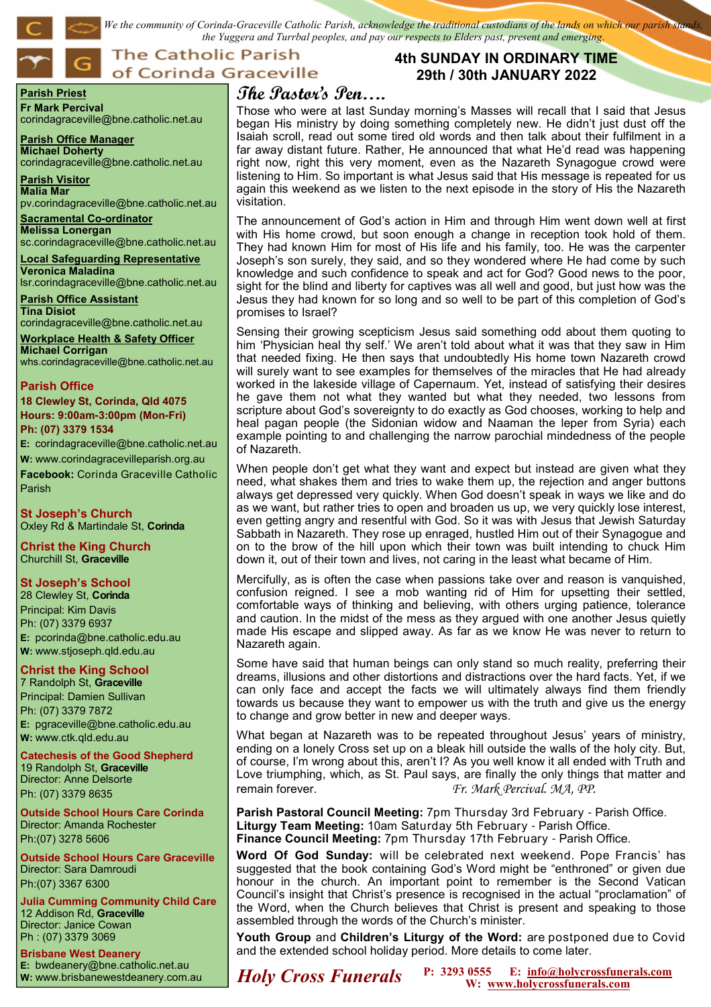*We the community of Corinda-Graceville Catholic Parish, acknowledge the traditional custodians of the lands on which our parish stands, the Yuggera and Turrbal peoples, and pay our respects to Elders past, present and emerging*.

## **The Catholic Parish** of Corinda Graceville

#### **Parish Priest Fr Mark Percival**

corindagraceville@bne.catholic.net.au

**Parish Office Manager Michael Doherty** corindagraceville@bne.catholic.net.au

**Parish Visitor Malia Mar**  pv.corindagraceville@bne.catholic.net.au

#### **Sacramental Co-ordinator Melissa Lonergan**

sc.corindagraceville@bne.catholic.net.au

**Local Safeguarding Representative Veronica Maladina** lsr.corindagraceville@bne.catholic.net.au

**Parish Office Assistant Tina Disiot**  corindagraceville@bne.catholic.net.au

**Workplace Health & Safety Officer Michael Corrigan**

# whs.corindagraceville@bne.catholic.net.au

### **Parish Office**

**18 Clewley St, Corinda, Qld 4075 Hours: 9:00am-3:00pm (Mon-Fri) Ph: (07) 3379 1534**

**E:** corindagraceville@bne.catholic.net.au **W:** www.corindagracevilleparish.org.au **Facebook:** Corinda Graceville Catholic Parish

**St Joseph's Church** Oxley Rd & Martindale St, **Corinda**

**Christ the King Church** Churchill St, **Graceville**

### **St Joseph's School**

28 Clewley St, **Corinda** Principal: Kim Davis Ph: (07) 3379 6937 **E:** pcorinda@bne.catholic.edu.au **W:** www.stjoseph.qld.edu.au

### **Christ the King School**

7 Randolph St, **Graceville** Principal: Damien Sullivan Ph: (07) 3379 7872 **E:** pgraceville@bne.catholic.edu.au **W:** www.ctk.qld.edu.au

**Catechesis of the Good Shepherd**  19 Randolph St, **Graceville**  Director: Anne Delsorte Ph: (07) 3379 8635

**Outside School Hours Care Corinda**  Director: Amanda Rochester Ph:(07) 3278 5606

**Outside School Hours Care Graceville**  Director: Sara Damroudi Ph:(07) 3367 6300

**Julia Cumming Community Child Care**  12 Addison Rd, **Graceville**  Director: Janice Cowan Ph : (07) 3379 3069

**Brisbane West Deanery E:** bwdeanery@bne.catholic.net.au

### **4th SUNDAY IN ORDINARY TIME 29th / 30th JANUARY 2022**

# **The Pastor's Pen….**

Those who were at last Sunday morning's Masses will recall that I said that Jesus began His ministry by doing something completely new. He didn't just dust off the Isaiah scroll, read out some tired old words and then talk about their fulfilment in a far away distant future. Rather, He announced that what He'd read was happening right now, right this very moment, even as the Nazareth Synagogue crowd were listening to Him. So important is what Jesus said that His message is repeated for us again this weekend as we listen to the next episode in the story of His the Nazareth visitation.

The announcement of God's action in Him and through Him went down well at first with His home crowd, but soon enough a change in reception took hold of them. They had known Him for most of His life and his family, too. He was the carpenter Joseph's son surely, they said, and so they wondered where He had come by such knowledge and such confidence to speak and act for God? Good news to the poor, sight for the blind and liberty for captives was all well and good, but just how was the Jesus they had known for so long and so well to be part of this completion of God's promises to Israel?

Sensing their growing scepticism Jesus said something odd about them quoting to him 'Physician heal thy self.' We aren't told about what it was that they saw in Him that needed fixing. He then says that undoubtedly His home town Nazareth crowd will surely want to see examples for themselves of the miracles that He had already worked in the lakeside village of Capernaum. Yet, instead of satisfying their desires he gave them not what they wanted but what they needed, two lessons from scripture about God's sovereignty to do exactly as God chooses, working to help and heal pagan people (the Sidonian widow and Naaman the leper from Syria) each example pointing to and challenging the narrow parochial mindedness of the people of Nazareth.

When people don't get what they want and expect but instead are given what they need, what shakes them and tries to wake them up, the rejection and anger buttons always get depressed very quickly. When God doesn't speak in ways we like and do as we want, but rather tries to open and broaden us up, we very quickly lose interest, even getting angry and resentful with God. So it was with Jesus that Jewish Saturday Sabbath in Nazareth. They rose up enraged, hustled Him out of their Synagogue and on to the brow of the hill upon which their town was built intending to chuck Him down it, out of their town and lives, not caring in the least what became of Him.

Mercifully, as is often the case when passions take over and reason is vanquished, confusion reigned. I see a mob wanting rid of Him for upsetting their settled, comfortable ways of thinking and believing, with others urging patience, tolerance and caution. In the midst of the mess as they argued with one another Jesus quietly made His escape and slipped away. As far as we know He was never to return to Nazareth again.

Some have said that human beings can only stand so much reality, preferring their dreams, illusions and other distortions and distractions over the hard facts. Yet, if we can only face and accept the facts we will ultimately always find them friendly towards us because they want to empower us with the truth and give us the energy to change and grow better in new and deeper ways.

What began at Nazareth was to be repeated throughout Jesus' years of ministry, ending on a lonely Cross set up on a bleak hill outside the walls of the holy city. But, of course, I'm wrong about this, aren't I? As you well know it all ended with Truth and Love triumphing, which, as St. Paul says, are finally the only things that matter and remain forever. *Fr. Mark Percival. MA, PP.*

**Parish Pastoral Council Meeting:** 7pm Thursday 3rd February - Parish Office. **Liturgy Team Meeting:** 10am Saturday 5th February - Parish Office. **Finance Council Meeting:** 7pm Thursday 17th February - Parish Office.

**Word Of God Sunday:** will be celebrated next weekend. Pope Francis' has suggested that the book containing God's Word might be "enthroned" or given due honour in the church. An important point to remember is the Second Vatican Council's insight that Christ's presence is recognised in the actual "proclamation" of the Word, when the Church believes that Christ is present and speaking to those assembled through the words of the Church's minister.

**Youth Group** and **Children's Liturgy of the Word:** are postponed due to Covid and the extended school holiday period. More details to come later.

**Holy Cross Funerals** P: 3293 0555 E: info@holycrossfunerals.com